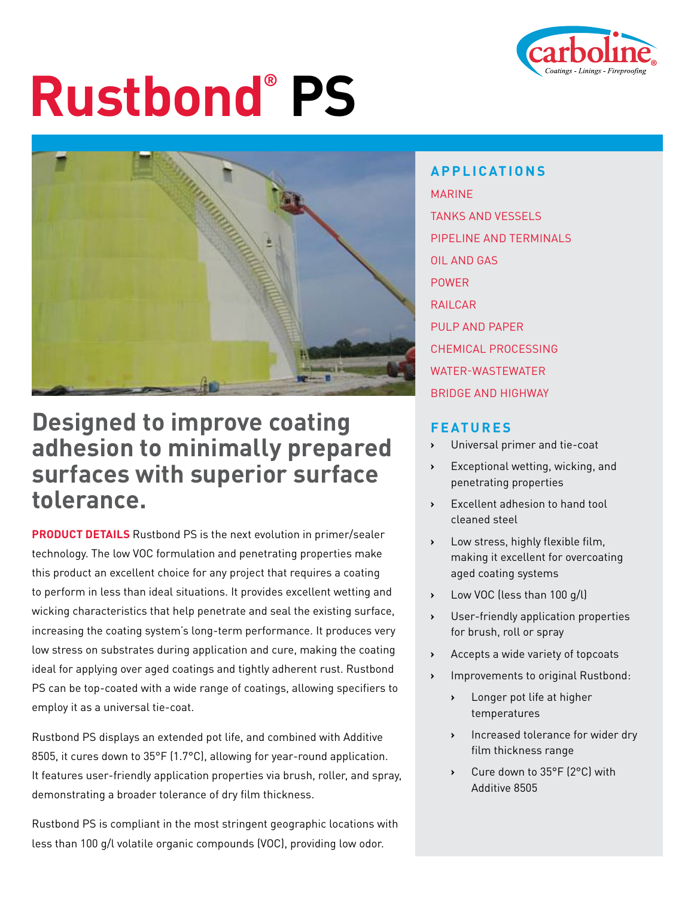

# **Rustbond® PS**



### **Designed to improve coating adhesion to minimally prepared surfaces with superior surface tolerance.**

**PRODUCT DETAILS** Rustbond PS is the next evolution in primer/sealer technology. The low VOC formulation and penetrating properties make this product an excellent choice for any project that requires a coating to perform in less than ideal situations. It provides excellent wetting and wicking characteristics that help penetrate and seal the existing surface, increasing the coating system's long-term performance. It produces very low stress on substrates during application and cure, making the coating ideal for applying over aged coatings and tightly adherent rust. Rustbond PS can be top-coated with a wide range of coatings, allowing specifiers to employ it as a universal tie-coat.

Rustbond PS displays an extended pot life, and combined with Additive 8505, it cures down to 35°F (1.7°C), allowing for year-round application. It features user-friendly application properties via brush, roller, and spray, demonstrating a broader tolerance of dry film thickness.

Rustbond PS is compliant in the most stringent geographic locations with less than 100 g/l volatile organic compounds (VOC), providing low odor.

**APPLICATIONS** MARINE TANKS AND VESSELS PIPELINE AND TERMINALS OIL AND GAS POWER RAILCAR PULP AND PAPER CHEMICAL PROCESSING WATER-WASTEWATER BRIDGE AND HIGHWAY

### **FEATURES**

- **›** Universal primer and tie-coat
- **›** Exceptional wetting, wicking, and penetrating properties
- **›** Excellent adhesion to hand tool cleaned steel
- **›** Low stress, highly flexible film, making it excellent for overcoating aged coating systems
- **›** Low VOC (less than 100 g/l)
- **›** User-friendly application properties for brush, roll or spray
- **›** Accepts a wide variety of topcoats
- **›** Improvements to original Rustbond:
	- **›** Longer pot life at higher temperatures
	- **›** Increased tolerance for wider dry film thickness range
	- **›** Cure down to 35°F (2°C) with Additive 8505